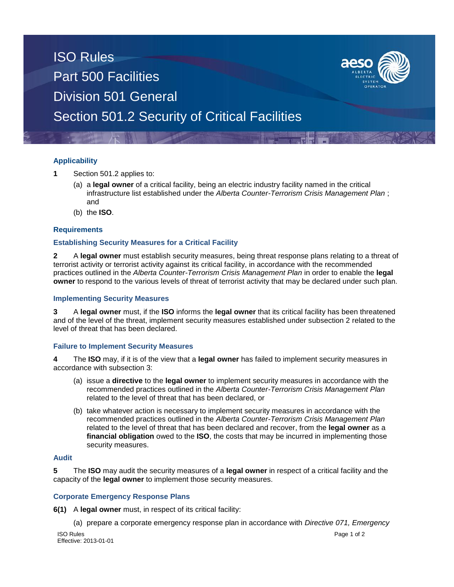## ISO Rules Part 500 Facilities Division 501 General Section 501.2 Security of Critical Facilities

## **Applicability**

- **1** Section 501.2 applies to:
	- (a) a **legal owner** of a critical facility, being an electric industry facility named in the critical infrastructure list established under the *Alberta Counter-Terrorism Crisis Management Plan* ; and
	- (b) the **ISO**.

### **Requirements**

#### **Establishing Security Measures for a Critical Facility**

**2** A **legal owner** must establish security measures, being threat response plans relating to a threat of terrorist activity or terrorist activity against its critical facility, in accordance with the recommended practices outlined in the *Alberta Counter-Terrorism Crisis Management Plan* in order to enable the **legal owner** to respond to the various levels of threat of terrorist activity that may be declared under such plan.

#### **Implementing Security Measures**

**3** A **legal owner** must, if the **ISO** informs the **legal owner** that its critical facility has been threatened and of the level of the threat, implement security measures established under subsection 2 related to the level of threat that has been declared.

### **Failure to Implement Security Measures**

**4** The **ISO** may, if it is of the view that a **legal owner** has failed to implement security measures in accordance with subsection 3:

- (a) issue a **directive** to the **legal owner** to implement security measures in accordance with the recommended practices outlined in the *Alberta Counter-Terrorism Crisis Management Plan* related to the level of threat that has been declared, or
- (b) take whatever action is necessary to implement security measures in accordance with the recommended practices outlined in the *Alberta Counter-Terrorism Crisis Management Plan* related to the level of threat that has been declared and recover, from the **legal owner** as a **financial obligation** owed to the **ISO**, the costs that may be incurred in implementing those security measures.

## **Audit**

**5** The **ISO** may audit the security measures of a **legal owner** in respect of a critical facility and the capacity of the **legal owner** to implement those security measures.

#### **Corporate Emergency Response Plans**

**6(1)** A **legal owner** must, in respect of its critical facility:

(a) prepare a corporate emergency response plan in accordance with *Directive 071, Emergency*